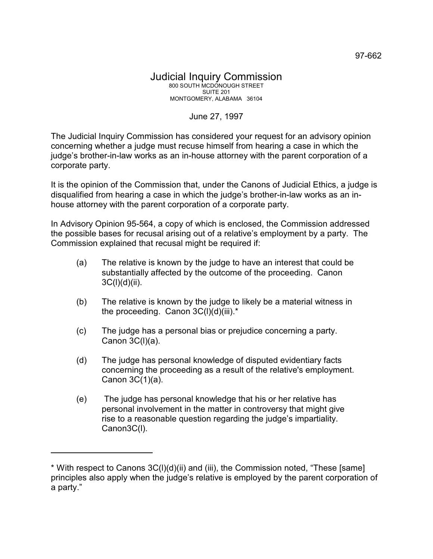## June 27, 1997

The Judicial Inquiry Commission has considered your request for an advisory opinion concerning whether a judge must recuse himself from hearing a case in which the judge's brother-in-law works as an in-house attorney with the parent corporation of a corporate party.

It is the opinion of the Commission that, under the Canons of Judicial Ethics, a judge is disqualified from hearing a case in which the judge's brother-in-law works as an inhouse attorney with the parent corporation of a corporate party.

In Advisory Opinion 95-564, a copy of which is enclosed, the Commission addressed the possible bases for recusal arising out of a relative's employment by a party. The Commission explained that recusal might be required if:

- (a) The relative is known by the judge to have an interest that could be substantially affected by the outcome of the proceeding. Canon  $3C(I)(d)(ii)$ .
- (b) The relative is known by the judge to likely be a material witness in the proceeding. Canon  $3C(I)(d)(iii).*$
- (c) The judge has a personal bias or prejudice concerning a party. Canon 3C(l)(a).
- (d) The judge has personal knowledge of disputed evidentiary facts concerning the proceeding as a result of the relative's employment. Canon 3C(1)(a).
- (e) The judge has personal knowledge that his or her relative has personal involvement in the matter in controversy that might give rise to a reasonable question regarding the judge's impartiality. Canon3C(l).

<sup>\*</sup> With respect to Canons 3C(l)(d)(ii) and (iii), the Commission noted, "These [same] principles also apply when the judge's relative is employed by the parent corporation of a party."